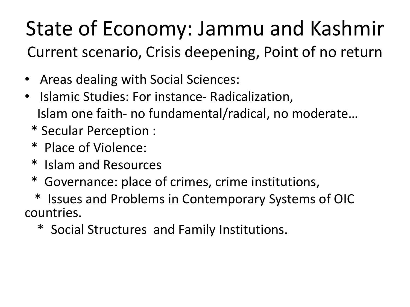#### State of Economy: Jammu and Kashmir Current scenario, Crisis deepening, Point of no return

- Areas dealing with Social Sciences:
- Islamic Studies: For instance- Radicalization, Islam one faith- no fundamental/radical, no moderate…
	- \* Secular Perception :
	- \* Place of Violence:
	- \* Islam and Resources
	- \* Governance: place of crimes, crime institutions,

Issues and Problems in Contemporary Systems of OIC countries.

\* Social Structures and Family Institutions.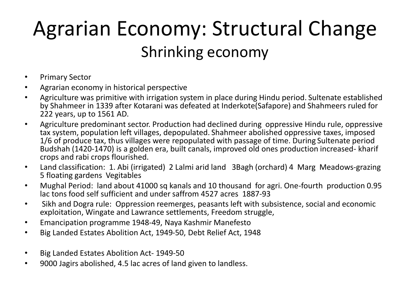#### Agrarian Economy: Structural Change Shrinking economy

- Primary Sector
- Agrarian economy in historical perspective
- Agriculture was primitive with irrigation system in place during Hindu period. Sultenate established by Shahmeer in 1339 after Kotarani was defeated at Inderkote(Safapore) and Shahmeers ruled for 222 years, up to 1561 AD.
- Agriculture predominant sector. Production had declined during oppressive Hindu rule, oppressive tax system, population left villages, depopulated. Shahmeer abolished oppressive taxes, imposed 1/6 of produce tax, thus villages were repopulated with passage of time. During Sultenate period Budshah (1420-1470) is a golden era, built canals, improved old ones production increased- kharif crops and rabi crops flourished.
- Land classification: 1. Abi (irrigated) 2 Lalmi arid land 3Bagh (orchard) 4 Marg Meadows-grazing 5 floating gardens Vegitables
- Mughal Period: land about 41000 sq kanals and 10 thousand for agri. One-fourth production 0.95 lac tons food self sufficient and under saffrom 4527 acres 1887-93
- Sikh and Dogra rule: Oppression reemerges, peasants left with subsistence, social and economic exploitation, Wingate and Lawrance settlements, Freedom struggle,
- Emancipation programme 1948-49, Naya Kashmir Manefesto
- Big Landed Estates Abolition Act, 1949-50, Debt Relief Act, 1948
- Big Landed Estates Abolition Act- 1949-50
- 9000 Jagirs abolished, 4.5 lac acres of land given to landless.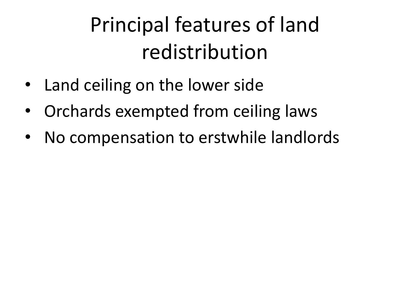### Principal features of land redistribution

- Land ceiling on the lower side
- Orchards exempted from ceiling laws
- No compensation to erstwhile landlords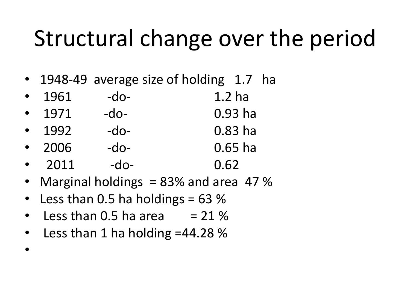## Structural change over the period

• 1948-49 average size of holding 1.7 ha

|           | 1961 | $-do-$ | 1.2 <sub>ha</sub> |
|-----------|------|--------|-------------------|
| $\bullet$ | 1971 | $-do-$ | $0.93$ ha         |
|           | 1992 | $-do-$ | $0.83$ ha         |
| $\bullet$ | 2006 | $-do-$ | $0.65$ ha         |
|           | 2011 | $-do-$ | 0.62              |

- Marginal holdings = 83% and area 47 %
- Less than 0.5 ha holdings  $= 63\%$
- Less than  $0.5$  ha area  $= 21\%$
- Less than 1 ha holding =44.28 %

•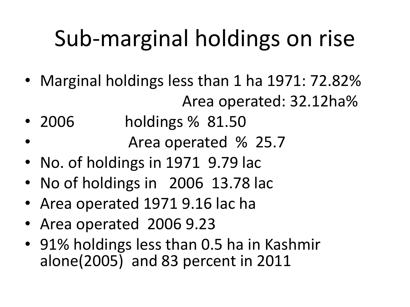# Sub-marginal holdings on rise

- Marginal holdings less than 1 ha 1971: 72.82% Area operated: 32.12ha%
- 2006 holdings % 81.50
	- Area operated % 25.7
- No. of holdings in 1971 9.79 lac
- No of holdings in 2006 13.78 lac
- Area operated 1971 9.16 lac ha
- Area operated 2006 9.23
- 91% holdings less than 0.5 ha in Kashmir alone(2005) and 83 percent in 2011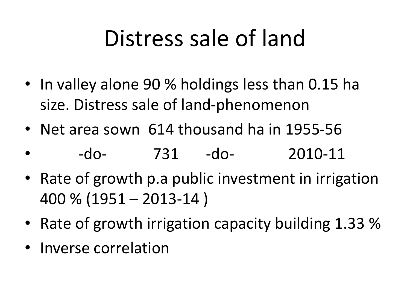## Distress sale of land

- In valley alone 90 % holdings less than 0.15 ha size. Distress sale of land-phenomenon
- Net area sown 614 thousand ha in 1955-56
- -do- 731 -do- 2010-11
- Rate of growth p.a public investment in irrigation 400 % (1951 – 2013-14 )
- Rate of growth irrigation capacity building 1.33 %
- Inverse correlation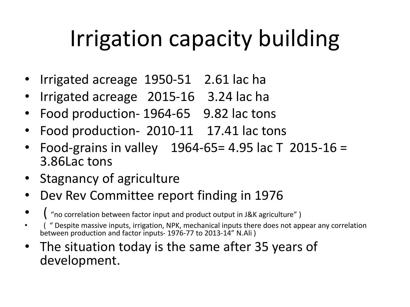# Irrigation capacity building

- Irrigated acreage 1950-51 2.61 lac ha
- Irrigated acreage 2015-16 3.24 lac ha
- Food production- 1964-65 9.82 lac tons
- Food production- 2010-11 17.41 lac tons
- Food-grains in valley 1964-65= 4.95 lac T 2015-16 = 3.86Lac tons
- Stagnancy of agriculture
- Dev Rev Committee report finding in 1976
- $\frac{1}{2}$  "no correlation between factor input and product output in J&K agriculture" )
- ( " Despite massive inputs, irrigation, NPK, mechanical inputs there does not appear any correlation between production and factor inputs- 1976-77 to 2013-14" N.Ali )
- The situation today is the same after 35 years of development.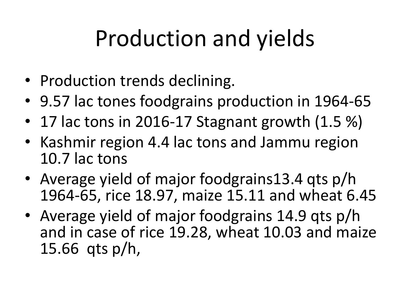# Production and yields

- Production trends declining.
- 9.57 lac tones foodgrains production in 1964-65
- 17 lac tons in 2016-17 Stagnant growth (1.5 %)
- Kashmir region 4.4 lac tons and Jammu region 10.7 lac tons
- Average yield of major foodgrains13.4 qts p/h 1964-65, rice 18.97, maize 15.11 and wheat 6.45
- Average yield of major foodgrains 14.9 qts p/h and in case of rice 19.28, wheat 10.03 and maize 15.66 qts p/h,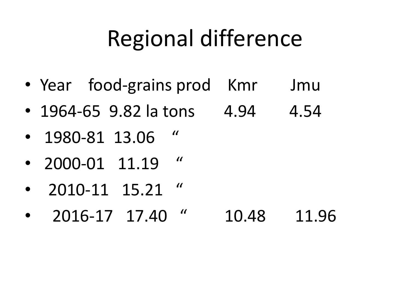## Regional difference

- Year food-grains prod Kmr Jmu
- 1964-65 9.82 la tons  $4.94$  4.54
- 1980-81 13.06 "
- 2000-01  $11.19$  "
- 2010-11 15.21 "
- 2016-17 17.40 " 10.48 11.96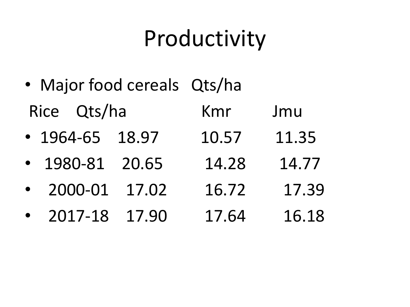## Productivity

- Major food cereals Qts/ha Rice Qts/ha Kmr Jmu
- 1964-65 18.97 10.57 11.35
- 1980-81 20.65 14.28 14.77
- 2000-01 17.02 16.72 17.39
- 2017-18 17.90 17.64 16.18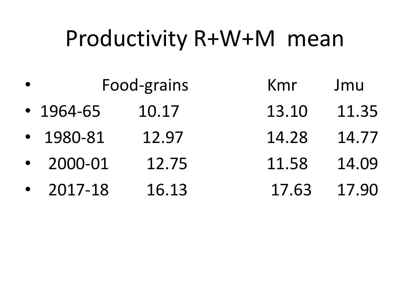### Productivity R+W+M mean

| $\bullet$ | Food-grains     |       | Kmr   | Jmu   |
|-----------|-----------------|-------|-------|-------|
|           | $\cdot$ 1964-65 | 10.17 | 13.10 | 11.35 |
|           | $-1980-81$      | 12.97 | 14.28 | 14.77 |
|           | $-2000 - 01$    | 12.75 | 11.58 | 14.09 |
|           | $-2017-18$      | 16.13 | 17.63 | 17.90 |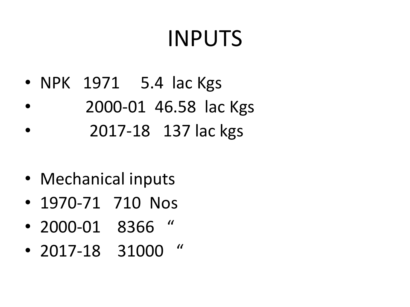## INPUTS

- NPK 1971 5.4 lac Kgs
- 2000-01 46.58 lac Kgs
- 2017-18 137 lac kgs
- Mechanical inputs
- 1970-71 710 Nos
- 2000-01 8366 "
- 2017-18 31000 "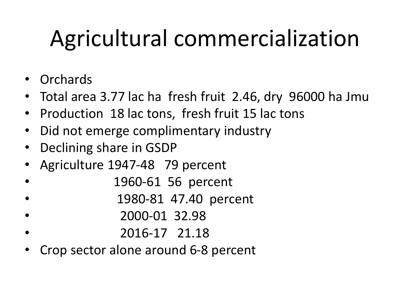# Agricultural commercialization

- Orchards
- Total area 3.77 lac ha fresh fruit 2.46, dry 96000 ha Jmu
- Production 18 lac tons, fresh fruit 15 lac tons
- Did not emerge complimentary industry
- Declining share in GSDP
- Agriculture 1947-48 79 percent
- 1960-61 56 percent
- 1980-81 47.40 percent
- 2000-01 32.98
- 2016-17 21.18
- Crop sector alone around 6-8 percent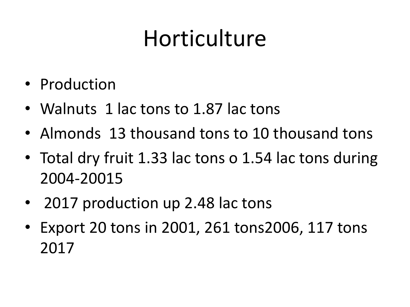## Horticulture

- Production
- Walnuts 1 lac tons to 1.87 lac tons
- Almonds 13 thousand tons to 10 thousand tons
- Total dry fruit 1.33 lac tons o 1.54 lac tons during 2004-20015
- 2017 production up 2.48 lac tons
- Export 20 tons in 2001, 261 tons2006, 117 tons 2017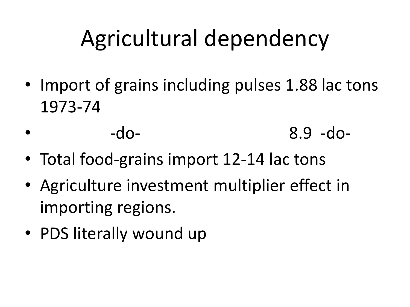# Agricultural dependency

- Import of grains including pulses 1.88 lac tons 1973-74
- -do- 8.9 -do-
- Total food-grains import 12-14 lac tons
- Agriculture investment multiplier effect in importing regions.
- PDS literally wound up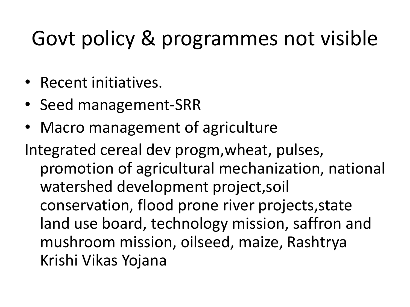#### Govt policy & programmes not visible

- Recent initiatives.
- Seed management-SRR
- Macro management of agriculture

Integrated cereal dev progm,wheat, pulses, promotion of agricultural mechanization, national watershed development project,soil conservation, flood prone river projects,state land use board, technology mission, saffron and mushroom mission, oilseed, maize, Rashtrya Krishi Vikas Yojana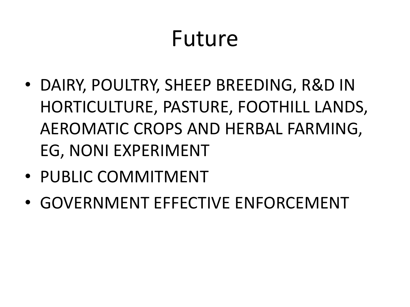#### Future

- DAIRY, POULTRY, SHEEP BREEDING, R&D IN HORTICULTURE, PASTURE, FOOTHILL LANDS, AEROMATIC CROPS AND HERBAL FARMING, EG, NONI EXPERIMENT
- PUBLIC COMMITMENT
- GOVERNMENT EFFECTIVE ENFORCEMENT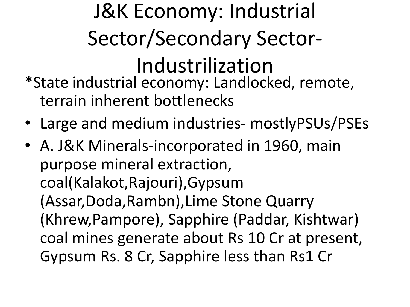#### J&K Economy: Industrial Sector/Secondary Sector-Industrilization \*State industrial economy: Landlocked, remote, terrain inherent bottlenecks

- Large and medium industries- mostlyPSUs/PSEs
- A. J&K Minerals-incorporated in 1960, main purpose mineral extraction, coal(Kalakot,Rajouri),Gypsum (Assar,Doda,Rambn),Lime Stone Quarry (Khrew,Pampore), Sapphire (Paddar, Kishtwar) coal mines generate about Rs 10 Cr at present, Gypsum Rs. 8 Cr, Sapphire less than Rs1 Cr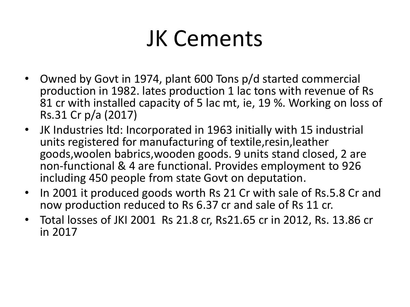### JK Cements

- Owned by Govt in 1974, plant 600 Tons p/d started commercial production in 1982. lates production 1 lac tons with revenue of Rs 81 cr with installed capacity of 5 lac mt, ie, 19 %. Working on loss of Rs.31 Cr p/a (2017)
- JK Industries ltd: Incorporated in 1963 initially with 15 industrial units registered for manufacturing of textile,resin,leather goods,woolen babrics,wooden goods. 9 units stand closed, 2 are non-functional & 4 are functional. Provides employment to 926 including 450 people from state Govt on deputation.
- In 2001 it produced goods worth Rs 21 Cr with sale of Rs.5.8 Cr and now production reduced to Rs 6.37 cr and sale of Rs 11 cr.
- Total losses of JKI 2001 Rs 21.8 cr, Rs21.65 cr in 2012, Rs. 13.86 cr in 2017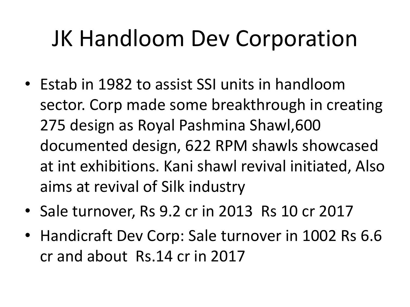## JK Handloom Dev Corporation

- Estab in 1982 to assist SSI units in handloom sector. Corp made some breakthrough in creating 275 design as Royal Pashmina Shawl,600 documented design, 622 RPM shawls showcased at int exhibitions. Kani shawl revival initiated, Also aims at revival of Silk industry
- Sale turnover, Rs 9.2 cr in 2013 Rs 10 cr 2017
- Handicraft Dev Corp: Sale turnover in 1002 Rs 6.6 cr and about Rs.14 cr in 2017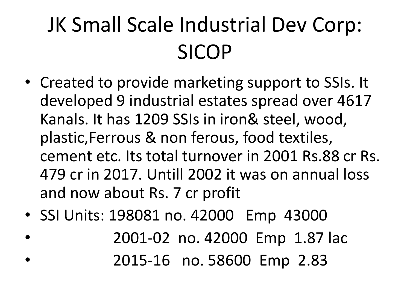## JK Small Scale Industrial Dev Corp: SICOP

- Created to provide marketing support to SSIs. It developed 9 industrial estates spread over 4617 Kanals. It has 1209 SSIs in iron& steel, wood, plastic,Ferrous & non ferous, food textiles, cement etc. Its total turnover in 2001 Rs.88 cr Rs. 479 cr in 2017. Untill 2002 it was on annual loss and now about Rs. 7 cr profit
- SSI Units: 198081 no. 42000 Emp 43000
- 2001-02 no. 42000 Emp 1.87 lac • 2015-16 no. 58600 Emp 2.83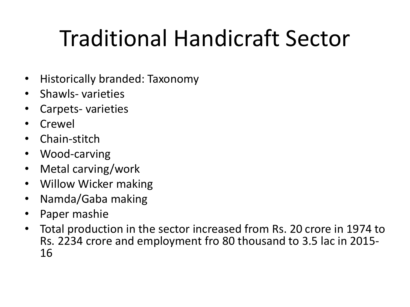# Traditional Handicraft Sector

- Historically branded: Taxonomy
- Shawls- varieties
- Carpets- varieties
- Crewel
- Chain-stitch
- Wood-carving
- Metal carving/work
- Willow Wicker making
- Namda/Gaba making
- Paper mashie
- Total production in the sector increased from Rs. 20 crore in 1974 to Rs. 2234 crore and employment fro 80 thousand to 3.5 lac in 2015- 16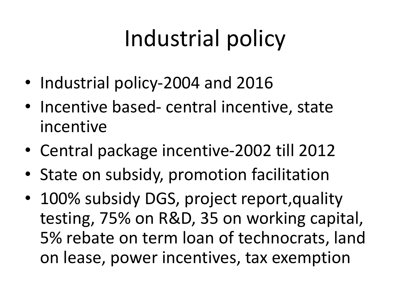# Industrial policy

- Industrial policy-2004 and 2016
- Incentive based- central incentive, state incentive
- Central package incentive-2002 till 2012
- State on subsidy, promotion facilitation
- 100% subsidy DGS, project report, quality testing, 75% on R&D, 35 on working capital, 5% rebate on term loan of technocrats, land on lease, power incentives, tax exemption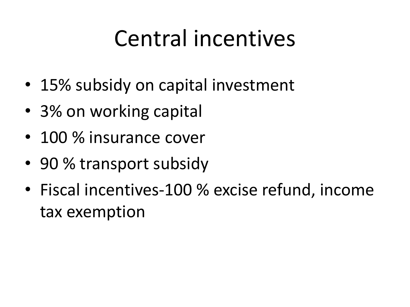## Central incentives

- 15% subsidy on capital investment
- 3% on working capital
- 100 % insurance cover
- 90 % transport subsidy
- Fiscal incentives-100 % excise refund, income tax exemption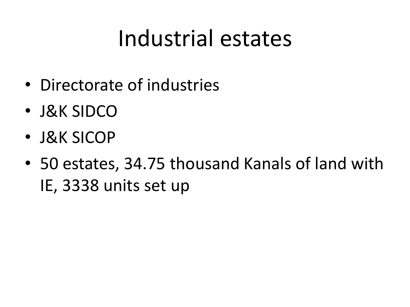## Industrial estates

- Directorate of industries
- J&K SIDCO
- J&K SICOP
- 50 estates, 34.75 thousand Kanals of land with IE, 3338 units set up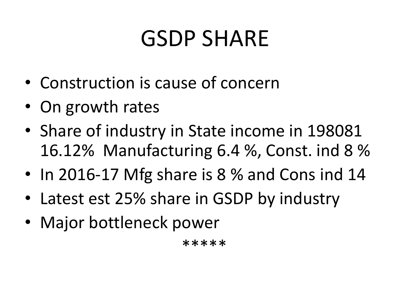## GSDP SHARE

- Construction is cause of concern
- On growth rates
- Share of industry in State income in 198081 16.12% Manufacturing 6.4 %, Const. ind 8 %
- In 2016-17 Mfg share is 8 % and Cons ind 14
- Latest est 25% share in GSDP by industry
- Major bottleneck power

\*\*\*\*\*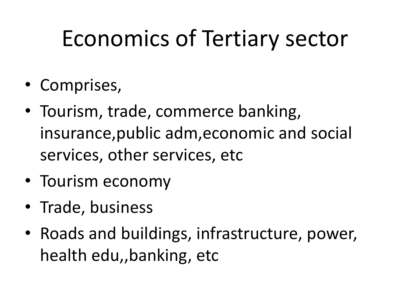# Economics of Tertiary sector

- Comprises,
- Tourism, trade, commerce banking, insurance,public adm,economic and social services, other services, etc
- Tourism economy
- Trade, business
- Roads and buildings, infrastructure, power, health edu,,banking, etc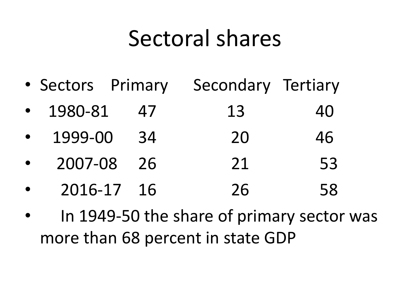#### Sectoral shares

- Sectors Primary Secondary Tertiary
- 1980-81 47 13 40
- 1999-00 34 20 46
- 2007-08 26 21 53
- 2016-17 16 26 58
- In 1949-50 the share of primary sector was more than 68 percent in state GDP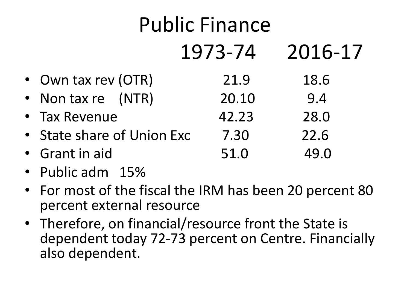#### Public Finance 1973-74 2016-17 • Own tax rev (OTR) 21.9 18.6 • Non tax re (NTR) 20.10 9.4 • Tax Revenue  $42.23$  28.0 • State share of Union Exc 7.30 22.6 • Grant in aid 51.0 49.0

- Public adm 15%
- For most of the fiscal the IRM has been 20 percent 80 percent external resource
- Therefore, on financial/resource front the State is dependent today 72-73 percent on Centre. Financially also dependent.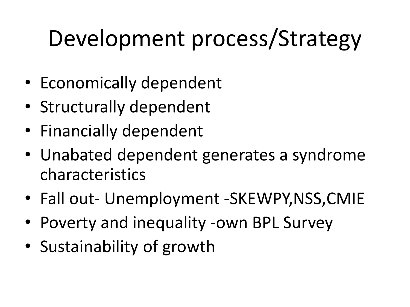# Development process/Strategy

- Economically dependent
- Structurally dependent
- Financially dependent
- Unabated dependent generates a syndrome characteristics
- Fall out- Unemployment -SKEWPY,NSS,CMIE
- Poverty and inequality -own BPL Survey
- Sustainability of growth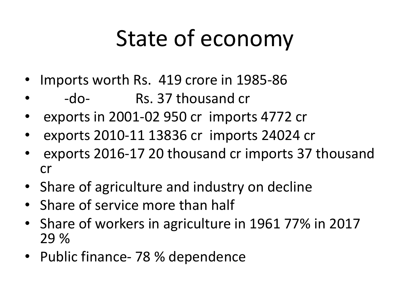## State of economy

- Imports worth Rs. 419 crore in 1985-86
- -do- Rs. 37 thousand cr
- exports in 2001-02 950 cr imports 4772 cr
- exports 2010-11 13836 cr imports 24024 cr
- exports 2016-17 20 thousand cr imports 37 thousand cr
- Share of agriculture and industry on decline
- Share of service more than half
- Share of workers in agriculture in 1961 77% in 2017 29 %
- Public finance- 78 % dependence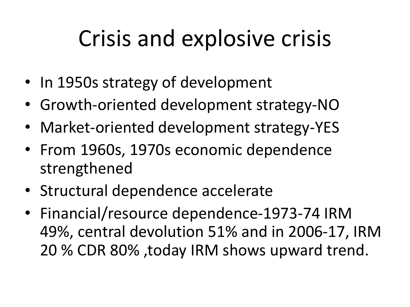## Crisis and explosive crisis

- In 1950s strategy of development
- Growth-oriented development strategy-NO
- Market-oriented development strategy-YES
- From 1960s, 1970s economic dependence strengthened
- Structural dependence accelerate
- Financial/resource dependence-1973-74 IRM 49%, central devolution 51% and in 2006-17, IRM 20 % CDR 80% ,today IRM shows upward trend.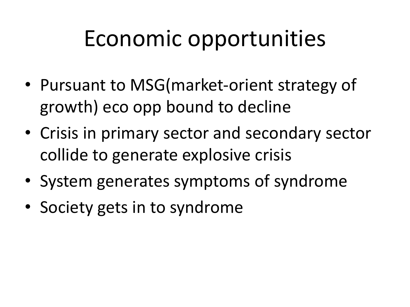## Economic opportunities

- Pursuant to MSG(market-orient strategy of growth) eco opp bound to decline
- Crisis in primary sector and secondary sector collide to generate explosive crisis
- System generates symptoms of syndrome
- Society gets in to syndrome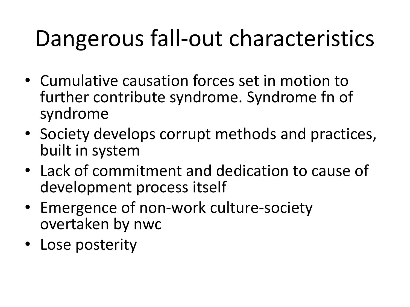## Dangerous fall-out characteristics

- Cumulative causation forces set in motion to further contribute syndrome. Syndrome fn of syndrome
- Society develops corrupt methods and practices, built in system
- Lack of commitment and dedication to cause of development process itself
- Emergence of non-work culture-society overtaken by nwc
- Lose posterity